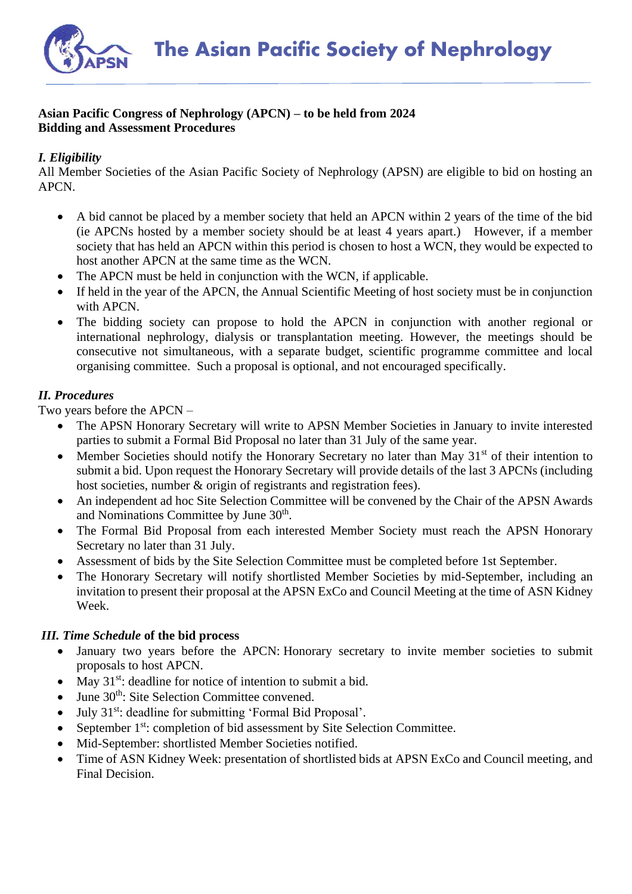

## **Asian Pacific Congress of Nephrology (APCN) – to be held from 2024 Bidding and Assessment Procedures**

## *I. Eligibility*

All Member Societies of the Asian Pacific Society of Nephrology (APSN) are eligible to bid on hosting an APCN.

- A bid cannot be placed by a member society that held an APCN within 2 years of the time of the bid (ie APCNs hosted by a member society should be at least 4 years apart.) However, if a member society that has held an APCN within this period is chosen to host a WCN, they would be expected to host another APCN at the same time as the WCN.
- The APCN must be held in conjunction with the WCN, if applicable.
- If held in the year of the APCN, the Annual Scientific Meeting of host society must be in conjunction with APCN.
- The bidding society can propose to hold the APCN in conjunction with another regional or international nephrology, dialysis or transplantation meeting. However, the meetings should be consecutive not simultaneous, with a separate budget, scientific programme committee and local organising committee. Such a proposal is optional, and not encouraged specifically.

## *II. Procedures*

Two years before the APCN –

- The APSN Honorary Secretary will write to APSN Member Societies in January to invite interested parties to submit a Formal Bid Proposal no later than 31 July of the same year.
- Member Societies should notify the Honorary Secretary no later than May  $31<sup>st</sup>$  of their intention to submit a bid. Upon request the Honorary Secretary will provide details of the last 3 APCNs (including host societies, number & origin of registrants and registration fees).
- An independent ad hoc Site Selection Committee will be convened by the Chair of the APSN Awards and Nominations Committee by June 30<sup>th</sup>.
- The Formal Bid Proposal from each interested Member Society must reach the APSN Honorary Secretary no later than 31 July.
- Assessment of bids by the Site Selection Committee must be completed before 1st September.
- The Honorary Secretary will notify shortlisted Member Societies by mid-September, including an invitation to present their proposal at the APSN ExCo and Council Meeting at the time of ASN Kidney Week.

## *III. Time Schedule* **of the bid process**

- January two years before the APCN: Honorary secretary to invite member societies to submit proposals to host APCN.
- May  $31^{st}$ : deadline for notice of intention to submit a bid.
- June 30<sup>th</sup>: Site Selection Committee convened.
- July 31<sup>st</sup>: deadline for submitting 'Formal Bid Proposal'.
- September 1<sup>st</sup>: completion of bid assessment by Site Selection Committee.
- Mid-September: shortlisted Member Societies notified.
- Time of ASN Kidney Week: presentation of shortlisted bids at APSN ExCo and Council meeting, and Final Decision.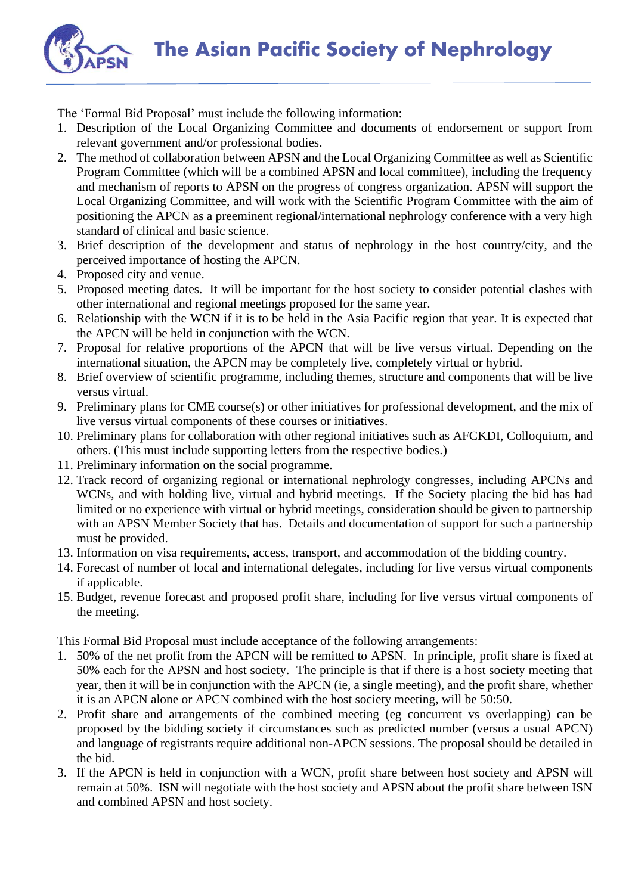The Asian Pacific Society of Nephrology



The 'Formal Bid Proposal' must include the following information:

- 1. Description of the Local Organizing Committee and documents of endorsement or support from relevant government and/or professional bodies.
- 2. The method of collaboration between APSN and the Local Organizing Committee as well as Scientific Program Committee (which will be a combined APSN and local committee), including the frequency and mechanism of reports to APSN on the progress of congress organization. APSN will support the Local Organizing Committee, and will work with the Scientific Program Committee with the aim of positioning the APCN as a preeminent regional/international nephrology conference with a very high standard of clinical and basic science.
- 3. Brief description of the development and status of nephrology in the host country/city, and the perceived importance of hosting the APCN.
- 4. Proposed city and venue.
- 5. Proposed meeting dates. It will be important for the host society to consider potential clashes with other international and regional meetings proposed for the same year.
- 6. Relationship with the WCN if it is to be held in the Asia Pacific region that year. It is expected that the APCN will be held in conjunction with the WCN.
- 7. Proposal for relative proportions of the APCN that will be live versus virtual. Depending on the international situation, the APCN may be completely live, completely virtual or hybrid.
- 8. Brief overview of scientific programme, including themes, structure and components that will be live versus virtual.
- 9. Preliminary plans for CME course(s) or other initiatives for professional development, and the mix of live versus virtual components of these courses or initiatives.
- 10. Preliminary plans for collaboration with other regional initiatives such as AFCKDI, Colloquium, and others. (This must include supporting letters from the respective bodies.)
- 11. Preliminary information on the social programme.
- 12. Track record of organizing regional or international nephrology congresses, including APCNs and WCNs, and with holding live, virtual and hybrid meetings. If the Society placing the bid has had limited or no experience with virtual or hybrid meetings, consideration should be given to partnership with an APSN Member Society that has. Details and documentation of support for such a partnership must be provided.
- 13. Information on visa requirements, access, transport, and accommodation of the bidding country.
- 14. Forecast of number of local and international delegates, including for live versus virtual components if applicable.
- 15. Budget, revenue forecast and proposed profit share, including for live versus virtual components of the meeting.

This Formal Bid Proposal must include acceptance of the following arrangements:

- 1. 50% of the net profit from the APCN will be remitted to APSN. In principle, profit share is fixed at 50% each for the APSN and host society. The principle is that if there is a host society meeting that year, then it will be in conjunction with the APCN (ie, a single meeting), and the profit share, whether it is an APCN alone or APCN combined with the host society meeting, will be 50:50.
- 2. Profit share and arrangements of the combined meeting (eg concurrent vs overlapping) can be proposed by the bidding society if circumstances such as predicted number (versus a usual APCN) and language of registrants require additional non-APCN sessions. The proposal should be detailed in the bid.
- 3. If the APCN is held in conjunction with a WCN, profit share between host society and APSN will remain at 50%. ISN will negotiate with the host society and APSN about the profit share between ISN and combined APSN and host society.